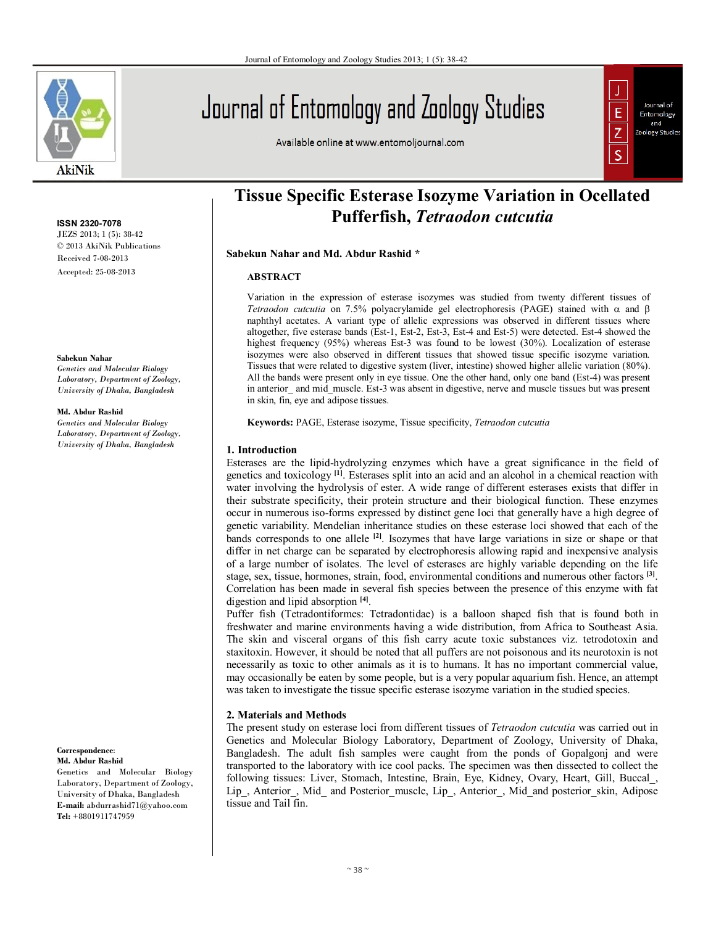

**ISSN 2320-7078** JEZS 2013; 1 (5): 38-42

© 2013 AkiNik Publications Received 7-08-2013 Accepted: 25-08-2013

#### **Sabekun Nahar**

*Genetics and Molecular Biology Laboratory, Department of Zoology, University of Dhaka, Bangladesh*

#### **Md. Abdur Rashid**

*Genetics and Molecular Biology Laboratory, Department of Zoology, University of Dhaka, Bangladesh*

**Correspondence**: **Md. Abdur Rashid**

Genetics and Molecular Biology Laboratory, Department of Zoology, University of Dhaka, Bangladesh **E-mail:** abdurrashid71@yahoo.com **Tel:** +8801911747959

# Journal of Entomology and Zoology Studies

Available online at www.entomoljournal.com



# **Tissue Specific Esterase Isozyme Variation in Ocellated Pufferfish,** *Tetraodon cutcutia*

**Sabekun Nahar and Md. Abdur Rashid \***

#### **ABSTRACT**

Variation in the expression of esterase isozymes was studied from twenty different tissues of *Tetraodon cutcutia* on 7.5% polyacrylamide gel electrophoresis (PAGE) stained with  $\alpha$  and  $\beta$ naphthyl acetates. A variant type of allelic expressions was observed in different tissues where altogether, five esterase bands (Est-1, Est-2, Est-3, Est-4 and Est-5) were detected. Est-4 showed the highest frequency (95%) whereas Est-3 was found to be lowest (30%). Localization of esterase isozymes were also observed in different tissues that showed tissue specific isozyme variation. Tissues that were related to digestive system (liver, intestine) showed higher allelic variation (80%). All the bands were present only in eye tissue. One the other hand, only one band (Est-4) was present in anterior and mid muscle. Est-3 was absent in digestive, nerve and muscle tissues but was present in skin, fin, eye and adipose tissues.

**Keywords:** PAGE, Esterase isozyme, Tissue specificity, *Tetraodon cutcutia*

# **1. Introduction**

Esterases are the lipid-hydrolyzing enzymes which have a great significance in the field of genetics and toxicology **[1]**. Esterases split into an acid and an alcohol in a chemical reaction with water involving the hydrolysis of ester. A wide range of different esterases exists that differ in their substrate specificity, their protein structure and their biological function. These enzymes occur in numerous iso-forms expressed by distinct gene loci that generally have a high degree of genetic variability. Mendelian inheritance studies on these esterase loci showed that each of the bands corresponds to one allele **[2]**. Isozymes that have large variations in size or shape or that differ in net charge can be separated by electrophoresis allowing rapid and inexpensive analysis of a large number of isolates. The level of esterases are highly variable depending on the life stage, sex, tissue, hormones, strain, food, environmental conditions and numerous other factors **[3]** . Correlation has been made in several fish species between the presence of this enzyme with fat digestion and lipid absorption **[4]** .

Puffer fish (Tetradontiformes: Tetradontidae) is a balloon shaped fish that is found both in freshwater and marine environments having a wide distribution, from Africa to Southeast Asia. The skin and visceral organs of this fish carry acute toxic substances viz. tetrodotoxin and staxitoxin. However, it should be noted that all puffers are not poisonous and its neurotoxin is not necessarily as toxic to other animals as it is to humans. It has no important commercial value, may occasionally be eaten by some people, but is a very popular aquarium fish. Hence, an attempt was taken to investigate the tissue specific esterase isozyme variation in the studied species.

# **2. Materials and Methods**

The present study on esterase loci from different tissues of *Tetraodon cutcutia* was carried out in Genetics and Molecular Biology Laboratory, Department of Zoology, University of Dhaka, Bangladesh. The adult fish samples were caught from the ponds of Gopalgonj and were transported to the laboratory with ice cool packs. The specimen was then dissected to collect the following tissues: Liver, Stomach, Intestine, Brain, Eye, Kidney, Ovary, Heart, Gill, Buccal\_, Lip, Anterior, Mid\_ and Posterior\_muscle, Lip<sub>,</sub> Anterior, Mid\_and posterior\_skin, Adipose tissue and Tail fin.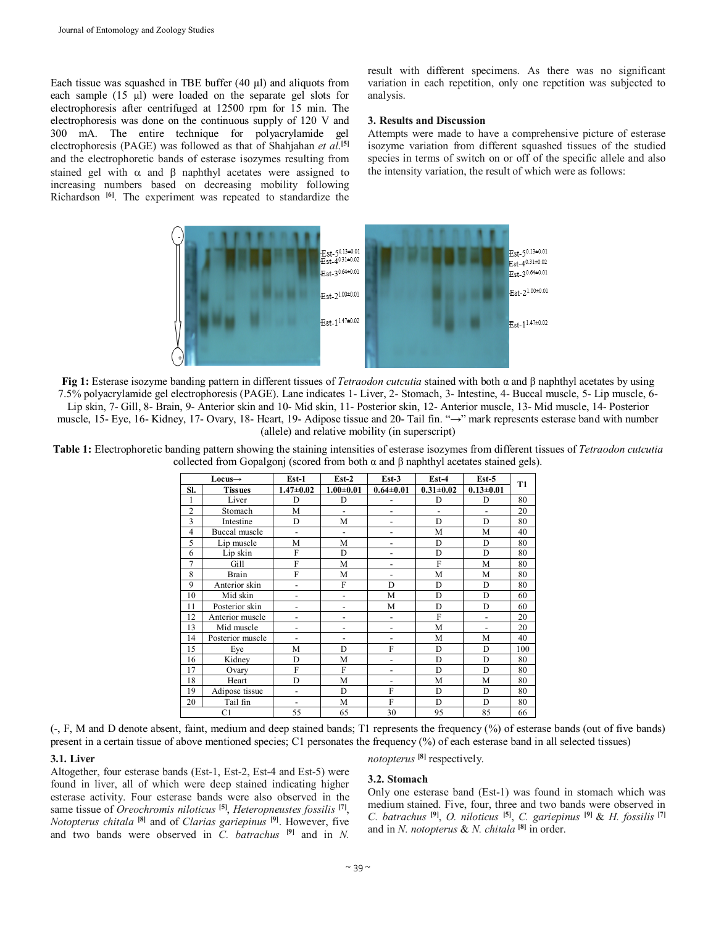Each tissue was squashed in TBE buffer (40 µl) and aliquots from each sample (15 µl) were loaded on the separate gel slots for electrophoresis after centrifuged at 12500 rpm for 15 min. The electrophoresis was done on the continuous supply of 120 V and 300 mA. The entire technique for polyacrylamide gel electrophoresis (PAGE) was followed as that of Shahjahan *et al*. **[5]** and the electrophoretic bands of esterase isozymes resulting from stained gel with  $\alpha$  and  $\beta$  naphthyl acetates were assigned to increasing numbers based on decreasing mobility following Richardson **[6]** . The experiment was repeated to standardize the result with different specimens. As there was no significant variation in each repetition, only one repetition was subjected to analysis.

#### **3. Results and Discussion**

Attempts were made to have a comprehensive picture of esterase isozyme variation from different squashed tissues of the studied species in terms of switch on or off of the specific allele and also the intensity variation, the result of which were as follows:



**Fig 1:** Esterase isozyme banding pattern in different tissues of *Tetraodon cutcutia* stained with both α and β naphthyl acetates by using 7.5% polyacrylamide gel electrophoresis (PAGE). Lane indicates 1- Liver, 2- Stomach, 3- Intestine, 4- Buccal muscle, 5- Lip muscle, 6- Lip skin, 7- Gill, 8- Brain, 9- Anterior skin and 10- Mid skin, 11- Posterior skin, 12- Anterior muscle, 13- Mid muscle, 14- Posterior muscle, 15- Eye, 16- Kidney, 17- Ovary, 18- Heart, 19- Adipose tissue and 20- Tail fin. "→" mark represents esterase band with number (allele) and relative mobility (in superscript)

**Table 1:** Electrophoretic banding pattern showing the staining intensities of esterase isozymes from different tissues of *Tetraodon cutcutia* collected from Gopalgonj (scored from both α and β naphthyl acetates stained gels).

| $Locus \rightarrow$ |                  | $Est-1$                  | $Est-2$                  | $Est-3$                  | $Est-4$        | $Est-5$                  | <b>T1</b> |
|---------------------|------------------|--------------------------|--------------------------|--------------------------|----------------|--------------------------|-----------|
| SI.                 | <b>Tissues</b>   | $1.47 \pm 0.02$          | $1.00 + 0.01$            | $0.64 \pm 0.01$          | $0.31 + 0.02$  | $0.13 \pm 0.01$          |           |
| 1                   | Liver            | D                        | D                        |                          | D              | D                        | 80        |
| $\overline{2}$      | Stomach          | M                        | $\overline{a}$           | $\overline{\phantom{0}}$ | $\overline{a}$ |                          | 20        |
| 3                   | Intestine        | D                        | M                        | $\overline{\phantom{0}}$ | D              | D                        | 80        |
| $\overline{4}$      | Buccal muscle    | $\overline{\phantom{a}}$ | $\blacksquare$           | $\overline{\phantom{0}}$ | M              | M                        | 40        |
| 5                   | Lip muscle       | M                        | M                        | $\overline{\phantom{0}}$ | D              | D                        | 80        |
| 6                   | Lip skin         | F                        | D                        | $\overline{a}$           | D              | D                        | 80        |
| $\overline{7}$      | Gill             | F                        | M                        | -                        | F              | M                        | 80        |
| 8                   | Brain            | F                        | M                        | $\overline{\phantom{0}}$ | M              | M                        | 80        |
| 9                   | Anterior skin    | $\overline{\phantom{a}}$ | F                        | D                        | D              | D                        | 80        |
| 10                  | Mid skin         | $\overline{\phantom{a}}$ | $\overline{\phantom{a}}$ | M                        | D              | D                        | 60        |
| 11                  | Posterior skin   | $\overline{\phantom{0}}$ | $\overline{\phantom{a}}$ | M                        | D              | D                        | 60        |
| 12                  | Anterior muscle  |                          |                          | $\overline{a}$           | F              | $\overline{\phantom{0}}$ | 20        |
| 13                  | Mid muscle       | $\overline{\phantom{0}}$ | $\overline{\phantom{0}}$ | $\overline{a}$           | M              | $\overline{\phantom{0}}$ | 20        |
| 14                  | Posterior muscle | $\overline{a}$           | $\overline{\phantom{a}}$ | $\overline{a}$           | M              | М                        | 40        |
| 15                  | Eye              | M                        | D                        | F                        | D              | D                        | 100       |
| 16                  | Kidney           | D                        | M                        | $\overline{a}$           | D              | D                        | 80        |
| 17                  | Ovary            | F                        | F                        | $\overline{a}$           | D              | D                        | 80        |
| 18                  | Heart            | D                        | M                        | $\overline{a}$           | M              | M                        | 80        |
| 19                  | Adipose tissue   | $\overline{a}$           | D                        | F                        | D              | D                        | 80        |
| 20                  | Tail fin         | $\overline{\phantom{a}}$ | M                        | F                        | D              | D                        | 80        |
| C1                  |                  | 55                       | 65                       | 30                       | 95             | 85                       | 66        |

(-, F, M and D denote absent, faint, medium and deep stained bands; T1 represents the frequency (%) of esterase bands (out of five bands) present in a certain tissue of above mentioned species; C1 personates the frequency (%) of each esterase band in all selected tissues)

#### **3.1. Liver**

Altogether, four esterase bands (Est-1, Est-2, Est-4 and Est-5) were found in liver, all of which were deep stained indicating higher esterase activity. Four esterase bands were also observed in the same tissue of *Oreochromis niloticus* **[5]** , *Heteropneustes fossilis* **[7]** , *Notopterus chitala* **[8]** and of *Clarias gariepinus* **[9]** . However, five and two bands were observed in *C. batrachus* **[9]** and in *N.* 

# **3.2. Stomach**

*notopterus* **[8]** respectively.

Only one esterase band (Est-1) was found in stomach which was medium stained. Five, four, three and two bands were observed in *C. batrachus* **[9]** , *O. niloticus* **[5]** , *C. gariepinus* **[9]** & *H. fossilis* **[7]** and in *N. notopterus* & *N. chitala* **[8]** in order.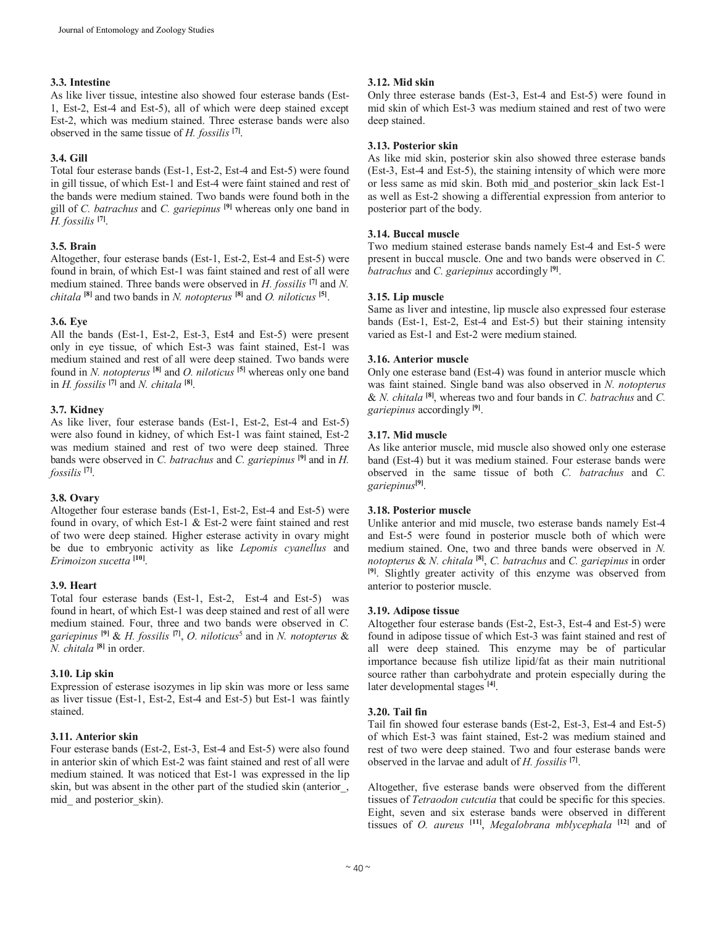# **3.3. Intestine**

#### As like liver tissue, intestine also showed four esterase bands (Est-1, Est-2, Est-4 and Est-5), all of which were deep stained except Est-2, which was medium stained. Three esterase bands were also observed in the same tissue of *H. fossilis* **[7]** .

# **3.4. Gill**

Total four esterase bands (Est-1, Est-2, Est-4 and Est-5) were found in gill tissue, of which Est-1 and Est-4 were faint stained and rest of the bands were medium stained. Two bands were found both in the gill of *C. batrachus* and *C. gariepinus* **[9]** whereas only one band in *H. fossilis* **[7]** .

# **3.5. Brain**

Altogether, four esterase bands (Est-1, Est-2, Est-4 and Est-5) were found in brain, of which Est-1 was faint stained and rest of all were medium stained. Three bands were observed in *H. fossilis* **[7]** and *N. chitala* **[8]** and two bands in *N. notopterus* **[8]** and *O. niloticus* **[5]** .

#### **3.6. Eye**

All the bands (Est-1, Est-2, Est-3, Est4 and Est-5) were present only in eye tissue, of which Est-3 was faint stained, Est-1 was medium stained and rest of all were deep stained. Two bands were found in *N. notopterus* **[8]** and *O. niloticus* **[5]** whereas only one band in *H. fossilis* **[7]** and *N. chitala* **[8]** .

# **3.7. Kidney**

As like liver, four esterase bands (Est-1, Est-2, Est-4 and Est-5) were also found in kidney, of which Est-1 was faint stained, Est-2 was medium stained and rest of two were deep stained. Three bands were observed in *C. batrachus* and *C. gariepinus* **[9]** and in *H. fossilis* **[7]** .

# **3.8. Ovary**

Altogether four esterase bands (Est-1, Est-2, Est-4 and Est-5) were found in ovary, of which Est-1 & Est-2 were faint stained and rest of two were deep stained. Higher esterase activity in ovary might be due to embryonic activity as like *Lepomis cyanellus* and *Erimoizon sucetta* **[10]** .

# **3.9. Heart**

Total four esterase bands (Est-1, Est-2, Est-4 and Est-5) was found in heart, of which Est-1 was deep stained and rest of all were medium stained. Four, three and two bands were observed in *C. gariepinus* **[9]** & *H. fossilis* **[7]** , *O. niloticus*<sup>5</sup> and in *N. notopterus* & *N. chitala* **[8]** in order.

#### **3.10. Lip skin**

Expression of esterase isozymes in lip skin was more or less same as liver tissue (Est-1, Est-2, Est-4 and Est-5) but Est-1 was faintly stained.

#### **3.11. Anterior skin**

Four esterase bands (Est-2, Est-3, Est-4 and Est-5) were also found in anterior skin of which Est-2 was faint stained and rest of all were medium stained. It was noticed that Est-1 was expressed in the lip skin, but was absent in the other part of the studied skin (anterior\_, mid and posterior skin).

# **3.12. Mid skin**

Only three esterase bands (Est-3, Est-4 and Est-5) were found in mid skin of which Est-3 was medium stained and rest of two were deep stained.

#### **3.13. Posterior skin**

As like mid skin, posterior skin also showed three esterase bands (Est-3, Est-4 and Est-5), the staining intensity of which were more or less same as mid skin. Both mid\_and posterior\_skin lack Est-1 as well as Est-2 showing a differential expression from anterior to posterior part of the body.

# **3.14. Buccal muscle**

Two medium stained esterase bands namely Est-4 and Est-5 were present in buccal muscle. One and two bands were observed in *C. batrachus* and *C. gariepinus* accordingly **[9]** .

# **3.15. Lip muscle**

Same as liver and intestine, lip muscle also expressed four esterase bands (Est-1, Est-2, Est-4 and Est-5) but their staining intensity varied as Est-1 and Est-2 were medium stained.

# **3.16. Anterior muscle**

Only one esterase band (Est-4) was found in anterior muscle which was faint stained. Single band was also observed in *N. notopterus*  & *N. chitala* **[8]** , whereas two and four bands in *C. batrachus* and *C. gariepinus* accordingly **[9]** .

# **3.17. Mid muscle**

As like anterior muscle, mid muscle also showed only one esterase band (Est-4) but it was medium stained. Four esterase bands were observed in the same tissue of both *C. batrachus* and *C. gariepinus***[9]** .

#### **3.18. Posterior muscle**

Unlike anterior and mid muscle, two esterase bands namely Est-4 and Est-5 were found in posterior muscle both of which were medium stained. One, two and three bands were observed in *N. notopterus* & *N. chitala* **[8]** , *C. batrachus* and *C. gariepinus* in order **[9]**. Slightly greater activity of this enzyme was observed from anterior to posterior muscle.

#### **3.19. Adipose tissue**

Altogether four esterase bands (Est-2, Est-3, Est-4 and Est-5) were found in adipose tissue of which Est-3 was faint stained and rest of all were deep stained. This enzyme may be of particular importance because fish utilize lipid/fat as their main nutritional source rather than carbohydrate and protein especially during the later developmental stages **[4]** .

# **3.20. Tail fin**

Tail fin showed four esterase bands (Est-2, Est-3, Est-4 and Est-5) of which Est-3 was faint stained, Est-2 was medium stained and rest of two were deep stained. Two and four esterase bands were observed in the larvae and adult of *H. fossilis* **[7]** .

Altogether, five esterase bands were observed from the different tissues of *Tetraodon cutcutia* that could be specific for this species. Eight, seven and six esterase bands were observed in different tissues of *O. aureus* **[11]** , *Megalobrana mblycephala* **[12]** and of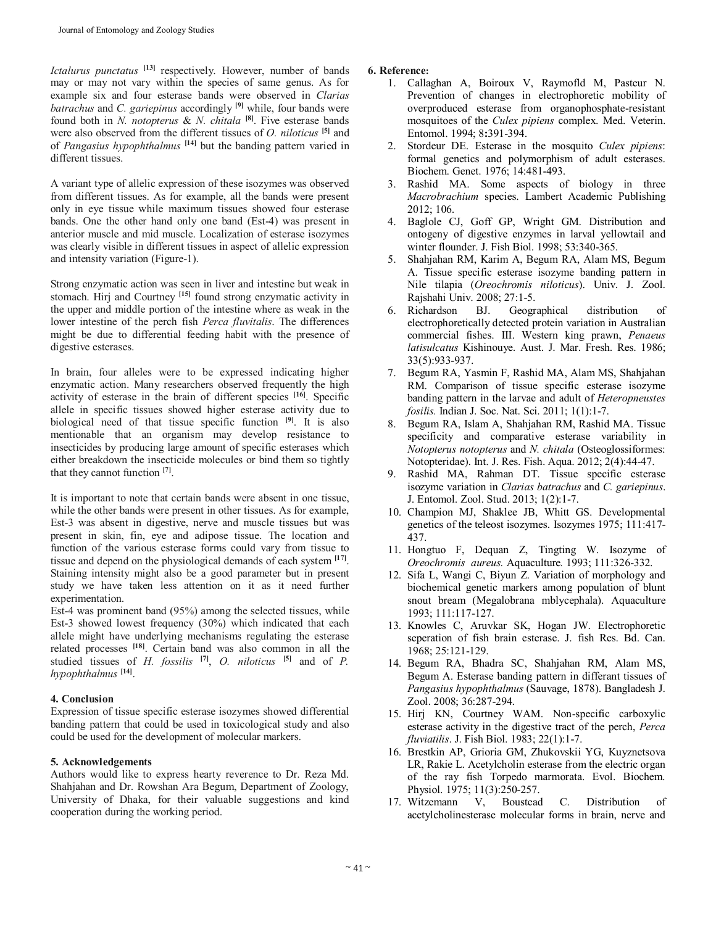*Ictalurus punctatus* **[13]** respectively. However, number of bands may or may not vary within the species of same genus. As for example six and four esterase bands were observed in *Clarias batrachus* and *C. gariepinus* accordingly **[9]** while, four bands were found both in *N. notopterus* & *N. chitala* **[8]** . Five esterase bands were also observed from the different tissues of *O. niloticus* **[5]** and of *Pangasius hypophthalmus* **[14]** but the banding pattern varied in different tissues.

A variant type of allelic expression of these isozymes was observed from different tissues. As for example, all the bands were present only in eye tissue while maximum tissues showed four esterase bands. One the other hand only one band (Est-4) was present in anterior muscle and mid muscle. Localization of esterase isozymes was clearly visible in different tissues in aspect of allelic expression and intensity variation (Figure-1).

Strong enzymatic action was seen in liver and intestine but weak in stomach. Hirj and Courtney **[15]** found strong enzymatic activity in the upper and middle portion of the intestine where as weak in the lower intestine of the perch fish *Perca fluvitalis*. The differences might be due to differential feeding habit with the presence of digestive esterases.

In brain, four alleles were to be expressed indicating higher enzymatic action. Many researchers observed frequently the high activity of esterase in the brain of different species **[16]** . Specific allele in specific tissues showed higher esterase activity due to biological need of that tissue specific function **[9]** . It is also mentionable that an organism may develop resistance to insecticides by producing large amount of specific esterases which either breakdown the insecticide molecules or bind them so tightly that they cannot function **[7]** .

It is important to note that certain bands were absent in one tissue, while the other bands were present in other tissues. As for example, Est-3 was absent in digestive, nerve and muscle tissues but was present in skin, fin, eye and adipose tissue. The location and function of the various esterase forms could vary from tissue to tissue and depend on the physiological demands of each system **[17]** . Staining intensity might also be a good parameter but in present study we have taken less attention on it as it need further experimentation.

Est-4 was prominent band (95%) among the selected tissues, while Est-3 showed lowest frequency (30%) which indicated that each allele might have underlying mechanisms regulating the esterase related processes **[18]** . Certain band was also common in all the studied tissues of *H. fossilis* **[7]** , *O. niloticus* **[5]** and of *P. hypophthalmus* **[14]** .

#### **4. Conclusion**

Expression of tissue specific esterase isozymes showed differential banding pattern that could be used in toxicological study and also could be used for the development of molecular markers.

#### **5. Acknowledgements**

Authors would like to express hearty reverence to Dr. Reza Md. Shahjahan and Dr. Rowshan Ara Begum, Department of Zoology, University of Dhaka, for their valuable suggestions and kind cooperation during the working period.

#### **6. Reference:**

- 1. Callaghan A, Boiroux V, Raymofld M, Pasteur N. Prevention of changes in electrophoretic mobility of overproduced esterase from organophosphate-resistant mosquitoes of the *Culex pipiens* complex. Med. Veterin. Entomol. 1994; 8**:**391-394.
- 2. Stordeur DE. Esterase in the mosquito *Culex pipiens*: formal genetics and polymorphism of adult esterases. Biochem. Genet. 1976; 14:481-493.
- 3. Rashid MA. Some aspects of biology in three *Macrobrachium* species. Lambert Academic Publishing 2012; 106.
- 4. Baglole CJ, Goff GP, Wright GM. Distribution and ontogeny of digestive enzymes in larval yellowtail and winter flounder. J. Fish Biol. 1998; 53:340-365.
- 5. Shahjahan RM, Karim A, Begum RA, Alam MS, Begum A. Tissue specific esterase isozyme banding pattern in Nile tilapia (*Oreochromis niloticus*). Univ. J. Zool. Rajshahi Univ. 2008; 27:1-5.
- 6. Richardson BJ. Geographical distribution of electrophoretically detected protein variation in Australian commercial fishes. III. Western king prawn, *Penaeus latisulcatus* Kishinouye. Aust. J. Mar. Fresh. Res. 1986; 33(5):933-937.
- 7. Begum RA, Yasmin F, Rashid MA, Alam MS, Shahjahan RM. Comparison of tissue specific esterase isozyme banding pattern in the larvae and adult of *Heteropneustes fosilis.* Indian J. Soc. Nat. Sci. 2011; 1(1):1-7.
- 8. Begum RA, Islam A, Shahjahan RM, Rashid MA. Tissue specificity and comparative esterase variability in *Notopterus notopterus* and *N. chitala* (Osteoglossiformes: Notopteridae). Int. J. Res. Fish. Aqua. 2012; 2(4):44-47.
- 9. Rashid MA, Rahman DT. Tissue specific esterase isozyme variation in *Clarias batrachus* and *C. gariepinus*. J. Entomol. Zool. Stud. 2013; 1(2):1-7.
- 10. Champion MJ, Shaklee JB, Whitt GS. Developmental genetics of the teleost isozymes. Isozymes 1975; 111:417- 437.
- 11. Hongtuo F, Dequan Z, Tingting W. Isozyme of *Oreochromis aureus.* Aquaculture*.* 1993; 111:326-332.
- 12. Sifa L, Wangi C, Biyun Z. Variation of morphology and biochemical genetic markers among population of blunt snout bream (Megalobrana mblycephala). Aquaculture 1993; 111:117-127.
- 13. Knowles C, Aruvkar SK, Hogan JW. Electrophoretic seperation of fish brain esterase. J. fish Res. Bd. Can. 1968; 25:121-129.
- 14. Begum RA, Bhadra SC, Shahjahan RM, Alam MS, Begum A. Esterase banding pattern in differant tissues of *Pangasius hypophthalmus* (Sauvage, 1878). Bangladesh J. Zool. 2008; 36:287-294.
- 15. Hirj KN, Courtney WAM. Non-specific carboxylic esterase activity in the digestive tract of the perch, *Perca fluviatilis*. J. Fish Biol. 1983; 22(1):1-7.
- 16. Brestkin AP, Grioria GM, Zhukovskii YG, Kuyznetsova LR, Rakie L. Acetylcholin esterase from the electric organ of the ray fish Torpedo marmorata. Evol. Biochem. Physiol. 1975; 11(3):250-257.<br>Witzemann V, Boustead
- 17. Witzemann V, Boustead C. Distribution of acetylcholinesterase molecular forms in brain, nerve and